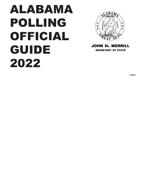# ALABAMA POLLING OFFICIAL GUIDE 2022



john h. merrill *secretary of state*

**4/2022**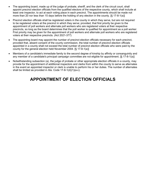- The appointing board, made up of the judge of probate, sheriff, and the clerk of the circuit court, shall appoint precinct election officials from the qualified electors of the respective county, which shall include at least one inspector, to act at each voting place in each precinct. The appointments should be made not more than 20 nor less than 15 days before the holding of any election in the county. [§ 17-8-1(a)]
- Precinct election officials shall be registered voters in the county in which they serve, but are not required to be registered voters at the precinct in which they serve; provided, that first priority be given to the appointment of poll workers and alternate poll workers who are registered voters at their respective precincts, so long as the board determines that the poll worker is qualified for appointment as a poll worker. First priority may be given for the appointment of poll workers and alternate poll workers who are registered voters at their respective precincts. (Act 2021-377)
- The appointing board may appoint the number of precinct election officials necessary for each precinct, provided that, absent consent of the county commission, the total number of precinct election officials appointed in a county shall not exceed the total number of precinct election officials who were paid by the county for the general election held November 2004. [§ 17-8-1(a)]
- Members of a candidate's immediate family to the second degree of kinship by affinity or consanguinity and any member of a candidate's principal campaign committee are not eligible for appointment. [§ 17-8-1(a)]
- Notwithstanding subsection (a), the judge of probate or other appropriate election officials in a county, may provide for the appointment of additional inspectors and clerks from within the county to serve as alternates in the event an appointed inspector or clerk is unable to perform his or her duties. The number of alternates shall be limited as provided in Ala. Code 17-8-1(d)(1)(a-c).

# **APPOINTMENT OF ELECTION OFFICIALS**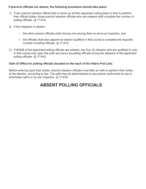### **If precinct officials are absent, the following procedure should take place:**

- 1) If any precinct election official fails to show up at their appointed voting place in time to perform their official duties, those precinct election officials who are present shall complete the number of polling officials. (§ 17-8-6)
- 2) If the Inspector is absent:
	- the other present officials shall choose one among them to serve as Inspector, and
	- the officials shall also appoint an elector qualified in that county to complete the requisite number of polling officials. (§ 17-8-6)
- 3) If NONE of the appointed polling officials are present, any four (4) electors who are qualified to vote in that county may open the polls and serve as polling officials during the absence of the appointed polling officials. (§ 17-8-6)

### **Oath of Office for polling officials (located on the back of the Voters Poll List):**

Before entering upon their duties, precinct election officials must take an oath to perform their duties at the election, according to law. The oath may be administered by any person authorized by law to administer oaths or by any inspector. (§ 17-8-8)

## **ABSENT POLLING OFFICIALS**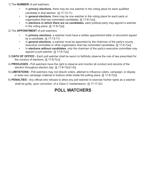1) The **NUMBER** of poll watchers:

- In **primary elections**, there may be one watcher in the voting place for each qualified candidate in that election. (§ 17-13-11)
- In **general elections**, there may be one watcher in the voting place for each party or organization that has nominated candidates. [§ 17-8-7(a)]
- In **elections in which there are no candidates**, each political party may appoint a watcher in the voting place.  $[\S 17-8-7(a)]$

2) The **APPOINTMENT** of poll watchers:

- In **primary elections**, a watcher must have a written appointment letter or document signed by a candidate. (§ 17-13-11)
- In **general elections**, a watcher must be appointed by the chairman of the party's county executive committee or other organization that has nominated candidates. [§ 17-8-7(a)]
- In **elections without candidates**, only the chairman of the party's executive committee may appoint a poll watcher. [§ 17-8-7(a)]
- 3) **OATH OF OFFICE -** Each poll watcher shall be sworn to faithfully observe the rule of law prescribed for the conduct of elections. [§ 17-8-7(c)]
- 4) **PRIVILEGES -** Poll watchers have the right to observe and monitor all conduct and records of the election throughout election day. [§ 17-8-7(b)(1-6)]
- 5) **LIMITATIONS -** Poll watchers may not disturb voters, attempt to influence voters, campaign, or display or wear any campaign material or buttons while inside the polling place. [§ 17-8-7(d)]
- 6) **PENALTIES** Any official who refuses to allow any poll watcher to exercise his/her rights as a watcher shall be guilty, upon conviction, of a Class C misdemeanor. (§ 17-17-22)

# **POLL WATCHERS**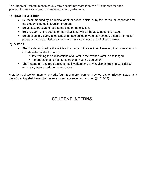The Judge of Probate in each county may appoint not more than two (2) students for each precinct to serve as unpaid student interns during elections.

### 1) **QUALIFICATIONS:**

- Be recommended by a principal or other school official or by the individual responsible for the student's home instruction program.
- Be at least 16 years of age at the time of the election.
- Be a resident of the county or municipality for which the appointment is made.
- Be enrolled in a public high school, an accredited private high school, a home instruction program, or be enrolled in a two-year or four-year institution of higher learning.

### 2) **DUTIES:**

- Shall be determined by the officials in charge of the election. However, the duties may not include either of the following:
	- Determining the qualifications of a voter in the event a voter is challenged.
	- **The operation and maintenance of any voting equipment.**
- Shall attend all required training for poll workers and any additional training considered necessary before performing any duties.

A student poll worker intern who works four (4) or more hours on a school day on Election Day or any day of training shall be entitled to an excused absence from school. (§ 17-8-14)

# **STUDENT INTERNS**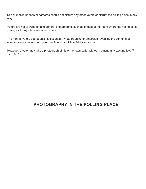Use of mobile phones or cameras should not disturb any other voters or disrupt the polling place in any way.

Voters are not allowed to take general photographs, such as photos of the room where the voting takes place, as it may intimidate other voters.

The right to vote a secret ballot is essential. Photographing or otherwise revealing the contents of another voter's ballot is not permissible and is a Class A Misdemeanor.

However, a voter may take a photograph of his or her own ballot without violating any existing law. (§ 17-9-50.1)

### **PHOTOGRAPHY IN THE POLLING PLACE**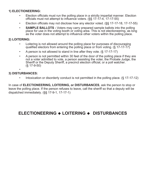### **1) ELECTIONEERING:**

- Election officials must run the polling place in a strictly impartial manner. Election officials must not attempt to influence voters. (§§ 17-17-4, 17-17-55)
- Election officials may not disclose how any elector voted. (§§ 17-17-18, 17-17-55)
- **SAMPLE BALLOTS** Voters may carry prepared sample ballots into the polling place for use in the voting booth or voting area. This is not electioneering, as long as the voter does not attempt to influence other voters within the polling place.

### **2) LOITERING:**

- Loitering is not allowed around the polling place for purposes of discouraging qualified electors from entering the polling place or from voting. (§ 17-17-17)
- A person is not allowed to stand in line after they vote. (§ 17-17-17)
- A person is not permitted within 30 feet of the door of the polling place if they are not a voter admitted to vote, a person assisting the voter, the Probate Judge, the Sheriff or the Deputy Sheriff, a precinct election official, or a poll watcher. (§ 17-9-50)

### • **3) DISTURBANCES:**

Intoxication or disorderly conduct is not permitted in the polling place. (§ 17-17-12)

In case of **ELECTIONEERING, LOITERING, or DISTURBANCES**, ask the person to stop or leave the polling place. If the person refuses to leave, call the sheriff so that a deputy will be dispatched immediately. (§§ 17-9-1, 17-17-1)

## **ELECTIONEERING LOITERING DISTURBANCES**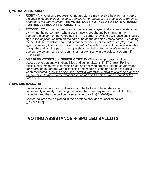### **1) VOTING ASSISTANCE:**

- **RIGHT** Any voter who requests voting assistance may receive help from any person the voter chooses *except the voter's employer, an agent of the employer, or an officer or agent of the voter's union.* **THE VOTER DOES NOT NEED TO STATE A REASON FOR REQUESTING ASSISTANCE.** [§ 17-9-13(a)]
- **• PROCEDURE -** To obtain assistance, the voter must specifically request assistance by naming the person from whom assistance is sought and by signing in the appropriate column of the voters poll list. The person providing assistance shall legibly sign in the adjacent column on the same line as the assisted voter's name. By signing the poll list, the assistant shall certify that he or she is *not the voter's employer, an agent of the employer, or an officer or agent of the voter's union.* If the voter is unable to sign the poll list, the person giving assistance shall write the voter's name in the appropriate column and then sign his or her own name in the adjacent column. [§ 17-9-13(a)]
- **• DISABLED VOTERS and SENIOR CITIZENS** The voting process must be accessible to persons with disabilities and senior citizens. [§ 17-2-4(c)] Polling officials shall make available voting aids, and poll workers shall extend courtesy and consideration to persons with disabilities and senior citizens and offer assistance when requested. *A polling official may allow a voter who is physically disabled or over the age of 70 to move to the front of the line at a polling place upon request of the voter.* [§ 17-9-13(e)]

### **2) SPOILED BALLOTS:**

- If a voter accidentally or mistakenly spoils the ballot and he or she cannot conveniently or safely vote using the ballot, the voter may return the ballot to the inspector, and the voter will be given another ballot. [§ 17-9-14(a)]
- Spoiled ballots shall be placed in the envelope provided for spoiled ballots.  $[\S 17 - 9 - 14(b)]$

### **VOTING ASSISTANCE SPOILED BALLOTS**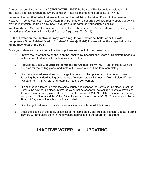A voter may be placed on the **INACTIVE VOTER LIST** if the Board of Registrars is unable to confirm the voter's address through the NVRA-compliant voter file maintenance process. (§ 17-4-30)

Voters on the **Inactive Voter List** are indicated on the poll list by the letter **"I"** next to their names. However, in some counties, inactive voters may be listed on a separate poll list. Your Probate Judge will provide instruction regarding how inactive voters are indicated on your county's poll list.

**Inactive status:** Once on the inactive list, the voter can be restored to "active" status by updating his or her address information with the local Board of Registrars. (§ 17-4-9)

#### **NOTE: A voter on the inactive list may vote a regular or provisional ballot after the voter completes a Voter Reidentification "Update" Form. (§ 17-4-9) Please follow the steps below for an inactive voter at the poll.**

Once you determine that a voter is inactive, a poll worker should follow these steps:

- 1. Inform the voter that he or she is on the inactive list because the Board of Registrars needs to obtain current address information from him or her.
- 2. Provide the voter with **Voter Reidentification "Update" Form (NVRA-20)** included with the supplies for the polling place, and instruct the voter to fill out the form completely.
- 3. If a change in address does not change the voter's polling place, allow the voter to vote following the standard voting procedures after completely filling out the Voter Reidentification "Update" form (NVRA-20) and returning it to the poll worker.
- 4. If a change in address is within the same county and changes the voter's polling place, direct the voter to the new polling place. Inform the voter that he or she will be required to vote a provisional ballot at the new polling place, Davis v. Bennett, 154 So. 3d 114 (Ala. 2014), but once the properly completed PB-3 form and the Voter Reidentification "Update" Form (NVRA-20) are received by the Board of Registrars, the vote should be counted.
- 5. If a change in address is outside the county, the person is not eligible to vote.
- 6. After the closing of the polls, collect all of the completed Voter Reidentification "Update" Forms (NVRA-20) and place them in the envelope addressed to the Board of Registrars.

# **INACTIVE VOTER UPDATING**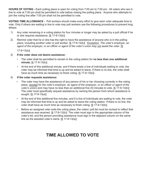**HOURS OF VOTING -** Each polling place is open for voting from 7:00 am to 7:00 pm: All voters who are in line to vote at 7:00 pm shall be permitted to vote before closing the polling place. Anyone who attempts to join the voting line after 7:00 pm shall not be permitted to vote.

**VOTING TIME ALLOWANCE -** Poll workers should make every effort to give each voter adequate time to vote. Only if others are waiting in line to vote may poll workers use the following procedures to prevent long delays:

- 1) Any voter remaining in a voting station for four minutes or longer may be asked by a poll official if he or she requires assistance. [§ 17-9-13(b)]
- 2) Remind voter that he or she has the right to have the assistance of anyone who is in the polling place, including another voter or poll worker. [§ 17-9-13(b)] Exception: *The voter's employer, an agent of the employer, or an officer or agent of the voter's union* may not assist the voter. [§

17-9-13(a)]

### 3) **If the voter does not desire assistance:**

- The voter shall be permitted to remain in the voting station for **no less than one additional minute.** [§ 17-9-13(b)]
- At the end of this additional minute, and if there exists a line of individuals waiting to vote, the voter may be informed that time is up and be asked to leave. If there is no line, the voter shall have as much time as necessary to finish voting. [§ 17-9-13(b)]

### 4) **If the voter requests assistance:**

- The voter may have the assistance of any person of his or her choosing currently in the voting place, (except for *the voter's employer, an agent of the employer, or an officer or agent of the voter's union*) and may have no less than an additional five (5) minutes to vote. [§ 17-9-13(b)] The voter must specifically request assistance by naming the person from whom assistance is sought. [§ 17-9-13(a)]
- At the end of this additional five minutes, and if a line of individuals are waiting to vote, the voter may be informed that time is up and be asked to leave the voting station. If there is no line, the voter shall have as much time as necessary to finish voting. [§ 17-9-13(b)]
- Before an assigned voter exits the voting place, the voters' poll list must be revised to reflect that assistance was received. [§ 17-9-13(b)] The voter must sign in the appropriate column of the voter's list, and the person providing assistance must sign in the adjacent column on the same line as the assisted voter's name.  $[\S 17-9-13(a)]$

# **TIME ALLOWED TO VOTE**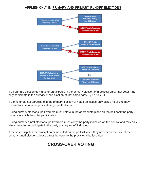### **applies only in primary and primary runoff elections**



If on primary election day, a voter participates in the primary election of a political party, that voter may only participate in the primary runoff election of that same party. (§ 17-13-7.1)

If the voter did not participate in the primary election or voted an issues-only ballot, he or she may choose to vote in either political party runoff election.

During primary elections, poll workers must notate in the appropriate place on the poll book the party primary in which the voter participates.

During primary runoff elections, poll workers must verify the party indicated on the poll list and may only allow the voter to participate in the party primary runoff indicated.

If the voter disputes the political party indicated on the poll list when they appear on the date of the primary runoff election, please direct the voter to the provisional ballot officer.

# **CROSS-OVER VOTING**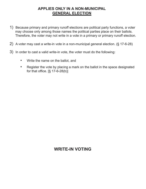### **applies only in a non-municipal general election**

- 1) Because primary and primary runoff elections are political party functions, a voter may choose only among those names the political parties place on their ballots. Therefore, the voter may not write in a vote in a primary or primary runoff election.
- 2) A voter may cast a write-in vote in a non-municipal general election. (§ 17-6-28)
- 3) In order to cast a valid write-in vote, the voter must do the following:
	- Write the name on the ballot, and
	- Register the vote by placing a mark on the ballot in the space designated for that office.  $[\S 17-6-28(b)]$

## **WRITE-IN VOTING**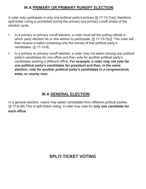### **in a primary or primary runoff election:**

A voter may participate in only one political party's primary [§ 17-13-7(a)]; therefore, split-ticket voting is prohibited during the primary and primary runoff phase of the election cycle.

- In a primary or primary runoff election, a voter must tell the polling official in which party election he or she wishes to participate. [§ 17-13-7(b)] The voter will then receive a ballot containing only the names of that political party's candidates. (§ 17-13-8)
- In a primary or primary runoff election, a voter may not select among one political party's candidates for one office and then vote for another political party's candidates seeking a different office. **For example, a voter may not vote for one political party's candidates for president and then, in the same election, vote for another political party's candidates in a congressional, state, or county race.**

### **in a general election:**

In a general election, voters may select candidates from different political parties. (§ 17-6-38) This is split-ticket voting. A voter may vote for **only one candidate for each office**.

# **SPLIT-TICKET VOTING**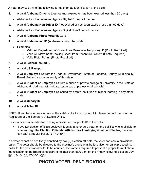A voter may use any of the following forms of photo identification at the polls:

- 1. A valid **Alabama Driver's License** (not expired or has been expired less than 60 days)
	- Alabama Law Enforcement Agency **Digital Driver's License**
- 2. A valid **Alabama Non-Driver ID** (not expired or has been expired less than 60 days)
	- Alabama Law Enforcement Agency Digital Non-Driver's License
- 3. A valid **Alabama Photo Voter ID** Card
- 4. A valid **State-Issued ID** (Alabama or any other state)
	- Examples:
		- $\circ$  Valid AL Department of Corrections Release Temporary ID (Photo Required)
		- o Valid AL Movement/Booking Sheet from Prison/Jail System (Photo Required)
		- o Valid Pistol Permit (Photo Required)
- 5. A valid **Federal-Issued ID**
- 6. A valid **US Passport**
- 7. A valid **Employee ID** from the Federal Government, State of Alabama, County, Municipality, Board, Authority, or other entity of this state
- 8. A valid **Student or Employee ID** from a public or private college or university in the State of Alabama (including postgraduate, technical, or professional schools)
- 9. A valid **Student or Employee ID** issued by a state institution of higher learning in any other state
- 10. A valid **Military ID**
- 11. A valid **Tribal ID**

**NOTE:** If you have a question about the validity of a form of photo ID, please contact the Board of Registrars or the Secretary of State's Office.

Provisions for voters who fail to bring a proper form of photo ID to the polls:

• If two (2) election officials positively identify a voter as a voter on the poll list who is eligible to vote and sign the **Election Officials' Affidavit for Identifying Qualified Elector**, the voter can cast a regular ballot. [§ 17-9-30(f)]

If a voter cannot be positively identified by two (2) election officials, the voter can cast a provisional ballot. The voter should be directed to the precinct's provisional ballot officer for ballot processing. In order for the provisional ballot to be counted, the voter is required to present a proper form of photo identification to the Board of Registrars no later than 5:00 p.m. on the Friday following Election Day. [§§ 17-10-1(c), 17-10-2(a)(3)]

# **PHOTO VOTER IDENTIFICATION**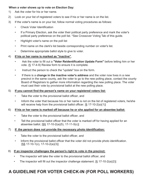### **When a voter shows up to vote on Election Day:**

- 1) Ask the voter for his or her name.
- 2) Look on your list of registered voters to see if his or her name is on the list.
- 3) If the voter's name is on your list, follow normal voting procedures as follows:
	- Check Voter Identification
	- If a Primary Election, ask the voter their political party preference and mark the voter's political party preference on the poll list. \*See Crossover Voting Tab of this guide.
	- Highlight voter's name on the poll list
	- Print name on the clerk's list beside corresponding number on voter's list.
	- Determine appropriate ballot style to give to voter.

### 4) **If his or her name is marked as "inactive"**,

- Ask the voter to fill out a **"Voter Reidentification Update Form"** before letting him or her vote. (§ 17-4-9) Review form to ensure it is complete.
- Instruct the person to check the "update" box on the form.
- If there is a **change in the inactive voter's address** and the voter now lives in a new precinct in the same county, ask the voter to go to the new polling place, contact the county Board of Registrars to gather more information regarding the new polling place. The voter must cast their vote by provisional ballot at the new polling place.

### 5) **If you cannot find the person's name on your registered voters list:**

- Take the voter to the provisional ballot officer, and
- Inform the voter that because his or her name is not on the list of registered voters, he/she will receive help from the provisional ballot officer. [§ 17-10-2(a)(1)]

### 6) **If his or her name is marked off because he or she applied for an absentee ballot:**

- Take the voter to the provisional ballot officer, and
- Tell the provisional ballot officer that the voter is marked off for having applied for an absentee ballot. [§§ 17-10-2(a)(5), 17-11-5(c)]

### 7) **If the person does not provide the necessary photo identification:**

- Take the voter to the provisional ballot officer, and
- Inform the provisional ballot officer that the voter did not provide photo identification. [§§ 17-10-1(c), 17-10-2(a)(3)]

### 8) **If an inspector challenges the person's right to vote in the precinct:**

- The inspector will take the voter to the provisional ballot officer, and
- The inspector will fill out the inspector challenge statement.  $[\S 17-10-2(a)(2)]$

# **A GUIDELINE FOR VOTER CHECK-IN (FOR POLL WORKERS)**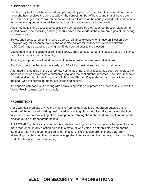### **ELECTION SECURITY**

Election Day ballots will be received and packaged by precinct. The Chief Inspector should confirm he or she has received the correct ballots, the correct number of boxes, and that all boxes are securely packaged. the overall shipment of ballots will arrive at the county sealed, with instructions for the receiving authority to advise the vendor if the shipment seal been broken.

Absentee ballots and associated supplies will be received by the Absentee Election Manager in sealed boxes. The receiving authority should advise the vendor if there are any signs of tampering or broken seals.

Ballots shall be secured behind locked doors at all times except when in use on Election Day. However, regular absentee ballots and absentee ballots for military and overseas citizens (UOCAVA) may be accessed during the 55 day period prior to the election.

Voting machines, including electronic poll books, shall be secured behind locked doors at all times except when in use on Election Day.

All voting equipment shall be stored in a climate-controlled environment at all times.

Electronic media, either memory cards or USB sticks, must be kept secured at all times.

After media is installed in the appropriate voting machine, and all testing has been completed, the machine must be sealed with a numbered seal and the seal number recorded. The Chief Inspector should receive this information as part of his or her Election Day materials, and check to ensure the seal, with the correct number, is in place and secure.

If it appears someone is tampering with or misusing voting equipment on Election Day, inform the Voting Precinct Inspector immediately.

### **PROHIBITIONS**

**Act 2021-535** prohibits any voting machine from being installed or operated outside of the interior of the enclosed building designated as a voting place. Additionally, no ballots shall be taken into or out of any voting place, except in performing the authorized pre-election and postelection duties of transporting ballots.

**Act 2021-488** prohibits any voter in this state from voting more than once, or attempting to vote more than once, in any election held in this state, or who votes in both this state and another state or territory in the same or equivalent election. The Act also prohibits any voter from attempting to vote when they have knowledge that they are not entitled to vote, or to commit any kind of unlawful or fraudulent voting.

# **ELECTION SECURITY PROHIBITIONS**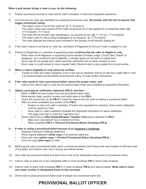#### **When a poll worker brings a voter to you, do the following:**

- 1) Explain provisional process to voter and to voter's assistant, if voter has requested assistance.
- 2) Find out why the voter was identified as a potential provisional voter. **Be familiar with this list of reasons that trigger provisional voting:**
	- The voter's name is not on the voter list.  $[§ 17-10-2(a)(1)]$ <br>• The voter's name was marked off the voter list because be
	- The voter's name was marked off the voter list because he or she applied for an absentee ballot. [§§ 17-10-2(a)(5), 17-11-5(c)]
	- The voter did not provide voter identification, as required by law.  $\frac{55}{12}$  17-10-1(c), 17-10-2(a)(3)]
	- The voter's right to vote is being challenged by an inspector.  $[\S 17 10 2(a)(2)]$
	- The voter disputes the political party indicated in the primary runoff election polling list.
- 3) If the voter's name is not found on voter list, call Board of Registrars to find out if voter is eligible to vote.
- 4) If Board of Registrars or a member of appointing board **confirms that the voter is eligible to vote**:
	- Write name of the Registrar or appointing board member (Probate Judge, Circuit Clerk, Sheriff, or designee) who confirmed voter's eligibility, in shaded space on the back of update form.
	- Have voter fill out update form. Make sure that verification box is check marked on form.
	- Direct voter to a poll worker to vote a regular ballot. Remind voter to give update form to poll worker.

#### 5) **When a voter's eligibility to vote cannot be verified:**

• Explain to voter and voter's assistant, if he or she has an assistant, that he or she has a legal right to vote a provisional ballot and the details of provisional voting. Provide written instructions.

#### 6) **If the voter wants to vote a provisional ballot, secure the proper roster, and:**

• Instruct the voter to sign or mark the provisional ballot roster and complete all requested information.

#### 7) **Obtain a provisional verification statement (PB-3), and then:**

- Write on **PB-3** the line number from the provisional ballot roster.
- Write election date, precinct number and ballot style on the **PB-3**.
- Check the correct box on the **PB-3** to mark the reason why the voter is casting a provisional ballot.
- After you have completed your portion of the **PB-3**:
	- Explain to voter and voter's assistant, if he/she has requested an assistant, that a sworn statement must be signed by voter.
	- Have voter or voter's assistant complete the requested information on sworn statement.
	- The voter must sign or mark the "signature line."
	- Direct voter to fill out **Voter Reidentification "Update" Form** that is attached to **PB-3**.
		- Make sure "provisional" box is checked on form.
		- Place completed **PB-3** in **Precinct Provisional Return Envelope (PB-4)**.

#### 8) **If voter is voting a provisional ballot because of an inspector's challenge,**

- Separate multi-part challenge statement.
- Place original statement (**white copy**) in provisional ballot box.
- Place one copy (**yellow copy**) in **Precinct Provisional Return Envelope (PB-4)**.
- Give one copy (**pink copy**) to voter.
- 9) Before giving voter a provisional ballot, place a provisional sticker over timing mark area located on left-hand side of the ballot, and instruct voter not to remove pre-affixed sticker.
- 10) Give voter the provisional ballot and direct him or her to the designated voting area for provisional voters.
- 11) Instruct voter to place his or her completed ballot in inner envelope (**PB-1**) and to seal envelope.
- 12) Instruct voter to place inner envelope (**PB-1**) in outer envelope (**PB-2**) and seal envelope. **Write voter's name and roster number in designated areas on this envelope.**
- 13) Direct voter to place provisional ballot outer envelope into provisional ballot box.

# **PROVISIONAL BALLOT OFFICER**